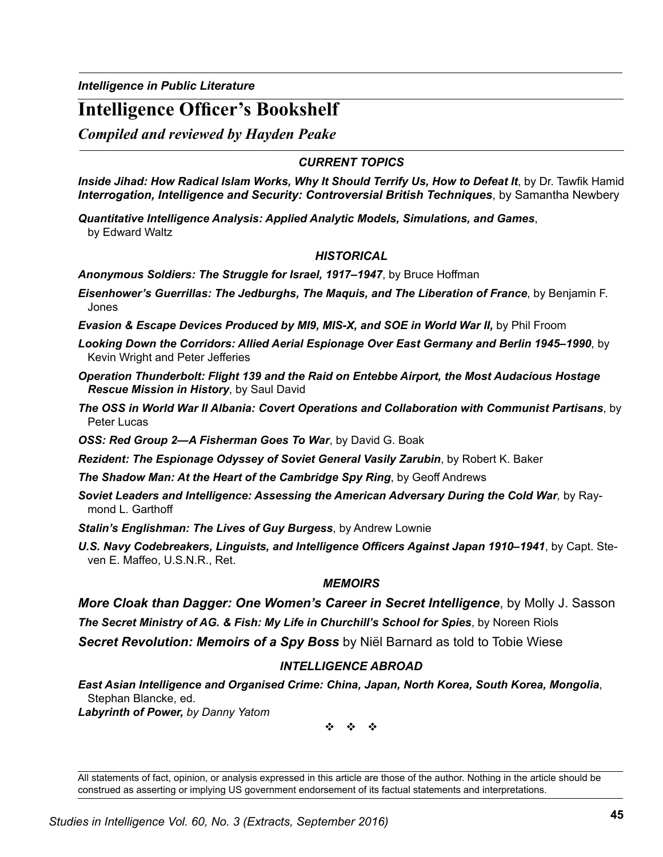*Intelligence in Public Literature*

# **Intelligence Officer's Bookshelf**

*Compiled and reviewed by Hayden Peake*

## *CURRENT TOPICS*

*Inside Jihad: How Radical Islam Works, Why It Should Terrify Us, How to Defeat It*, by Dr. Tawfik Hamid *Interrogation, Intelligence and Security: Controversial British Techniques*, by Samantha Newbery

*Quantitative Intelligence Analysis: Applied Analytic Models, Simulations, and Games*, by Edward Waltz

### *HISTORICAL*

*Anonymous Soldiers: The Struggle for Israel, 1917–1947*, by Bruce Hoffman

- *Eisenhower's Guerrillas: The Jedburghs, The Maquis, and The Liberation of France*, by Benjamin F. Jones
- *Evasion & Escape Devices Produced by MI9, MIS-X, and SOE in World War II, by Phil Froom*
- *Looking Down the Corridors: Allied Aerial Espionage Over East Germany and Berlin 1945–1990*, by Kevin Wright and Peter Jefferies
- *Operation Thunderbolt: Flight 139 and the Raid on Entebbe Airport, the Most Audacious Hostage Rescue Mission in History*, by Saul David
- *The OSS in World War II Albania: Covert Operations and Collaboration with Communist Partisans*, by Peter Lucas
- *OSS: Red Group 2—A Fisherman Goes To War*, by David G. Boak
- *Rezident: The Espionage Odyssey of Soviet General Vasily Zarubin*, by Robert K. Baker
- *The Shadow Man: At the Heart of the Cambridge Spy Ring*, by Geoff Andrews
- *Soviet Leaders and Intelligence: Assessing the American Adversary During the Cold War,* by Raymond L. Garthoff
- *Stalin's Englishman: The Lives of Guy Burgess*, by Andrew Lownie
- *U.S. Navy Codebreakers, Linguists, and Intelligence Officers Against Japan 1910–1941*, by Capt. Steven E. Maffeo, U.S.N.R., Ret.

#### *MEMOIRS*

*More Cloak than Dagger: One Women's Career in Secret Intelligence*, by Molly J. Sasson *The Secret Ministry of AG. & Fish: My Life in Churchill's School for Spies*, by Noreen Riols *Secret Revolution: Memoirs of a Spy Boss* by Niël Barnard as told to Tobie Wiese

### *INTELLIGENCE ABROAD*

*East Asian Intelligence and Organised Crime: China, Japan, North Korea, South Korea, Mongolia*, Stephan Blancke, ed.

*Labyrinth of Power, by Danny Yatom*

v v v

All statements of fact, opinion, or analysis expressed in this article are those of the author. Nothing in the article should be construed as asserting or implying US government endorsement of its factual statements and interpretations.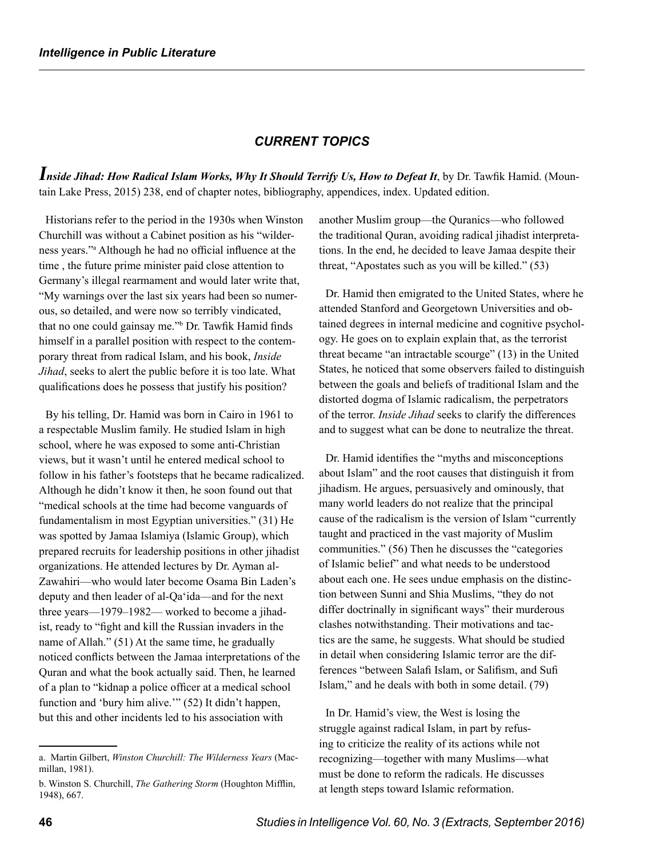### *CURRENT TOPICS*

*Inside Jihad: How Radical Islam Works, Why It Should Terrify Us, How to Defeat It*, by Dr. Tawfik Hamid. (Mountain Lake Press, 2015) 238, end of chapter notes, bibliography, appendices, index. Updated edition.

Historians refer to the period in the 1930s when Winston Churchill was without a Cabinet position as his "wilderness years."<sup>a</sup> Although he had no official influence at the time , the future prime minister paid close attention to Germany's illegal rearmament and would later write that, "My warnings over the last six years had been so numerous, so detailed, and were now so terribly vindicated, that no one could gainsay me."<sup>b</sup> Dr. Tawfik Hamid finds himself in a parallel position with respect to the contemporary threat from radical Islam, and his book, *Inside Jihad*, seeks to alert the public before it is too late. What qualifications does he possess that justify his position?

By his telling, Dr. Hamid was born in Cairo in 1961 to a respectable Muslim family. He studied Islam in high school, where he was exposed to some anti-Christian views, but it wasn't until he entered medical school to follow in his father's footsteps that he became radicalized. Although he didn't know it then, he soon found out that "medical schools at the time had become vanguards of fundamentalism in most Egyptian universities." (31) He was spotted by Jamaa Islamiya (Islamic Group), which prepared recruits for leadership positions in other jihadist organizations. He attended lectures by Dr. Ayman al-Zawahiri—who would later become Osama Bin Laden's deputy and then leader of al-Qa'ida—and for the next three years—1979–1982— worked to become a jihadist, ready to "fight and kill the Russian invaders in the name of Allah." (51) At the same time, he gradually noticed conflicts between the Jamaa interpretations of the Quran and what the book actually said. Then, he learned of a plan to "kidnap a police officer at a medical school function and 'bury him alive.'" (52) It didn't happen, but this and other incidents led to his association with

another Muslim group—the Quranics—who followed the traditional Quran, avoiding radical jihadist interpretations. In the end, he decided to leave Jamaa despite their threat, "Apostates such as you will be killed." (53)

Dr. Hamid then emigrated to the United States, where he attended Stanford and Georgetown Universities and obtained degrees in internal medicine and cognitive psychology. He goes on to explain explain that, as the terrorist threat became "an intractable scourge" (13) in the United States, he noticed that some observers failed to distinguish between the goals and beliefs of traditional Islam and the distorted dogma of Islamic radicalism, the perpetrators of the terror. *Inside Jihad* seeks to clarify the differences and to suggest what can be done to neutralize the threat.

Dr. Hamid identifies the "myths and misconceptions about Islam" and the root causes that distinguish it from jihadism. He argues, persuasively and ominously, that many world leaders do not realize that the principal cause of the radicalism is the version of Islam "currently taught and practiced in the vast majority of Muslim communities." (56) Then he discusses the "categories of Islamic belief" and what needs to be understood about each one. He sees undue emphasis on the distinction between Sunni and Shia Muslims, "they do not differ doctrinally in significant ways" their murderous clashes notwithstanding. Their motivations and tactics are the same, he suggests. What should be studied in detail when considering Islamic terror are the differences "between Salafi Islam, or Salifism, and Sufi Islam," and he deals with both in some detail. (79)

In Dr. Hamid's view, the West is losing the struggle against radical Islam, in part by refusing to criticize the reality of its actions while not recognizing—together with many Muslims—what must be done to reform the radicals. He discusses at length steps toward Islamic reformation.

a. Martin Gilbert, *Winston Churchill: The Wilderness Years* (Macmillan, 1981).

b. Winston S. Churchill, *The Gathering Storm* (Houghton Mifflin, 1948), 667.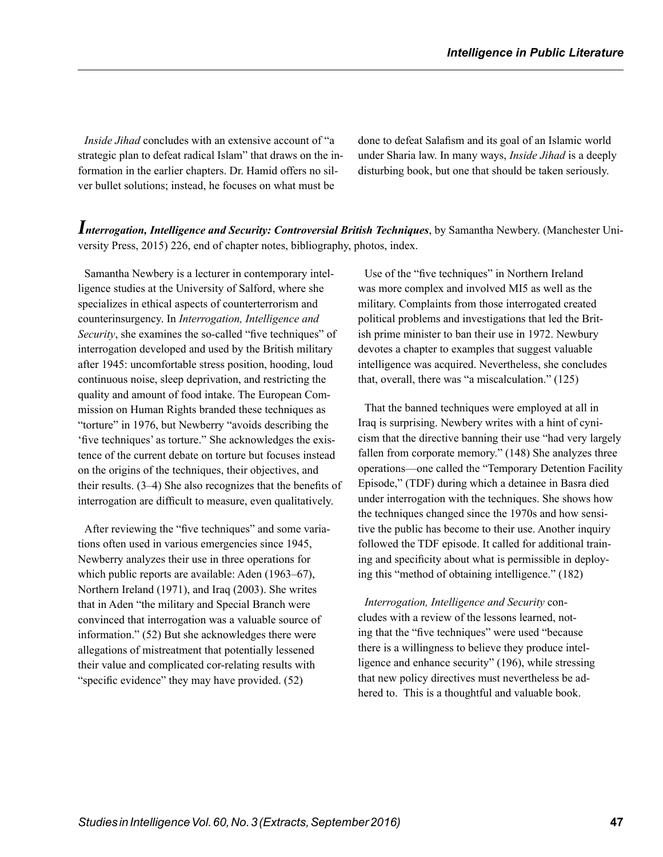*Inside Jihad* concludes with an extensive account of "a strategic plan to defeat radical Islam" that draws on the information in the earlier chapters. Dr. Hamid offers no silver bullet solutions; instead, he focuses on what must be

done to defeat Salafism and its goal of an Islamic world under Sharia law. In many ways, *Inside Jihad* is a deeply disturbing book, but one that should be taken seriously.

*Interrogation, Intelligence and Security: Controversial British Techniques*, by Samantha Newbery. (Manchester University Press, 2015) 226, end of chapter notes, bibliography, photos, index.

Samantha Newbery is a lecturer in contemporary intelligence studies at the University of Salford, where she specializes in ethical aspects of counterterrorism and counterinsurgency. In *Interrogation, Intelligence and Security*, she examines the so-called "five techniques" of interrogation developed and used by the British military after 1945: uncomfortable stress position, hooding, loud continuous noise, sleep deprivation, and restricting the quality and amount of food intake. The European Commission on Human Rights branded these techniques as "torture" in 1976, but Newberry "avoids describing the 'five techniques' as torture." She acknowledges the existence of the current debate on torture but focuses instead on the origins of the techniques, their objectives, and their results. (3–4) She also recognizes that the benefits of interrogation are difficult to measure, even qualitatively.

After reviewing the "five techniques" and some variations often used in various emergencies since 1945, Newberry analyzes their use in three operations for which public reports are available: Aden (1963–67), Northern Ireland (1971), and Iraq (2003). She writes that in Aden "the military and Special Branch were convinced that interrogation was a valuable source of information." (52) But she acknowledges there were allegations of mistreatment that potentially lessened their value and complicated cor-relating results with "specific evidence" they may have provided. (52)

Use of the "five techniques" in Northern Ireland was more complex and involved MI5 as well as the military. Complaints from those interrogated created political problems and investigations that led the British prime minister to ban their use in 1972. Newbury devotes a chapter to examples that suggest valuable intelligence was acquired. Nevertheless, she concludes that, overall, there was "a miscalculation." (125)

That the banned techniques were employed at all in Iraq is surprising. Newbery writes with a hint of cynicism that the directive banning their use "had very largely fallen from corporate memory." (148) She analyzes three operations—one called the "Temporary Detention Facility Episode," (TDF) during which a detainee in Basra died under interrogation with the techniques. She shows how the techniques changed since the 1970s and how sensitive the public has become to their use. Another inquiry followed the TDF episode. It called for additional training and specificity about what is permissible in deploying this "method of obtaining intelligence." (182)

*Interrogation, Intelligence and Security* concludes with a review of the lessons learned, noting that the "five techniques" were used "because there is a willingness to believe they produce intelligence and enhance security" (196), while stressing that new policy directives must nevertheless be adhered to. This is a thoughtful and valuable book.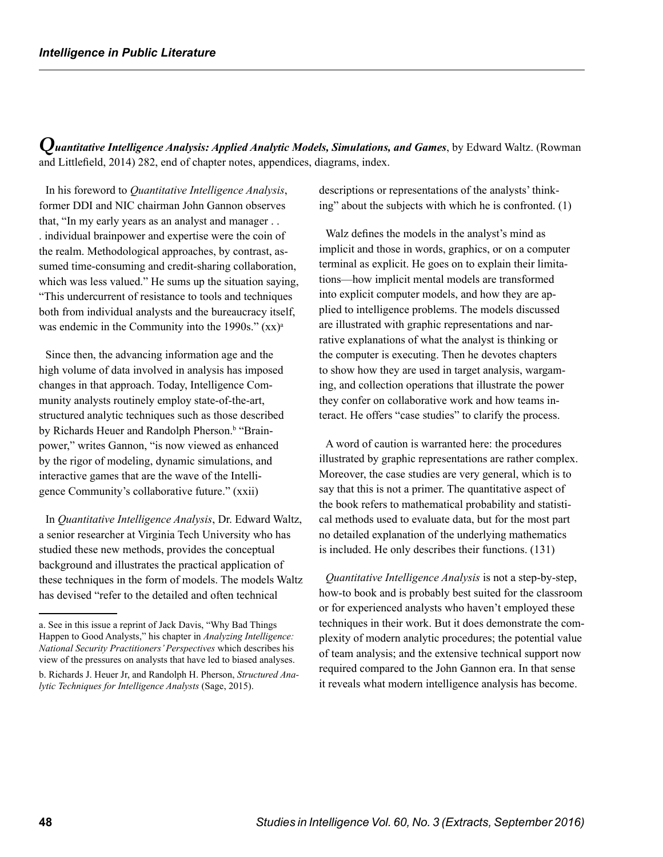*Quantitative Intelligence Analysis: Applied Analytic Models, Simulations, and Games*, by Edward Waltz. (Rowman and Littlefield, 2014) 282, end of chapter notes, appendices, diagrams, index.

In his foreword to *Quantitative Intelligence Analysis*, former DDI and NIC chairman John Gannon observes that, "In my early years as an analyst and manager . . . individual brainpower and expertise were the coin of the realm. Methodological approaches, by contrast, assumed time-consuming and credit-sharing collaboration, which was less valued." He sums up the situation saying, "This undercurrent of resistance to tools and techniques both from individual analysts and the bureaucracy itself, was endemic in the Community into the 1990s."  $(xx)^a$ 

Since then, the advancing information age and the high volume of data involved in analysis has imposed changes in that approach. Today, Intelligence Community analysts routinely employ state-of-the-art, structured analytic techniques such as those described by Richards Heuer and Randolph Pherson.<sup>b</sup> "Brainpower," writes Gannon, "is now viewed as enhanced by the rigor of modeling, dynamic simulations, and interactive games that are the wave of the Intelligence Community's collaborative future." (xxii)

In *Quantitative Intelligence Analysis*, Dr. Edward Waltz, a senior researcher at Virginia Tech University who has studied these new methods, provides the conceptual background and illustrates the practical application of these techniques in the form of models. The models Waltz has devised "refer to the detailed and often technical

descriptions or representations of the analysts' thinking" about the subjects with which he is confronted. (1)

Walz defines the models in the analyst's mind as implicit and those in words, graphics, or on a computer terminal as explicit. He goes on to explain their limitations—how implicit mental models are transformed into explicit computer models, and how they are applied to intelligence problems. The models discussed are illustrated with graphic representations and narrative explanations of what the analyst is thinking or the computer is executing. Then he devotes chapters to show how they are used in target analysis, wargaming, and collection operations that illustrate the power they confer on collaborative work and how teams interact. He offers "case studies" to clarify the process.

A word of caution is warranted here: the procedures illustrated by graphic representations are rather complex. Moreover, the case studies are very general, which is to say that this is not a primer. The quantitative aspect of the book refers to mathematical probability and statistical methods used to evaluate data, but for the most part no detailed explanation of the underlying mathematics is included. He only describes their functions. (131)

*Quantitative Intelligence Analysis* is not a step-by-step, how-to book and is probably best suited for the classroom or for experienced analysts who haven't employed these techniques in their work. But it does demonstrate the complexity of modern analytic procedures; the potential value of team analysis; and the extensive technical support now required compared to the John Gannon era. In that sense it reveals what modern intelligence analysis has become.

a. See in this issue a reprint of Jack Davis, "Why Bad Things Happen to Good Analysts," his chapter in *Analyzing Intelligence: National Security Practitioners' Perspectives* which describes his view of the pressures on analysts that have led to biased analyses.

b. Richards J. Heuer Jr, and Randolph H. Pherson, *Structured Analytic Techniques for Intelligence Analysts* (Sage, 2015).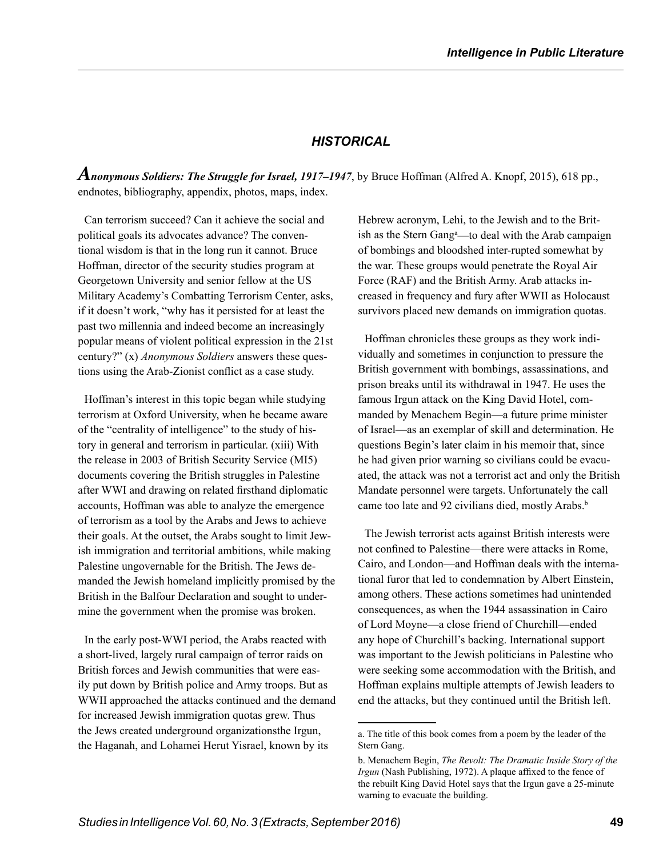# *HISTORICAL*

*Anonymous Soldiers: The Struggle for Israel, 1917–1947*, by Bruce Hoffman (Alfred A. Knopf, 2015), 618 pp., endnotes, bibliography, appendix, photos, maps, index.

Can terrorism succeed? Can it achieve the social and political goals its advocates advance? The conventional wisdom is that in the long run it cannot. Bruce Hoffman, director of the security studies program at Georgetown University and senior fellow at the US Military Academy's Combatting Terrorism Center, asks, if it doesn't work, "why has it persisted for at least the past two millennia and indeed become an increasingly popular means of violent political expression in the 21st century?" (x) *Anonymous Soldiers* answers these questions using the Arab-Zionist conflict as a case study.

Hoffman's interest in this topic began while studying terrorism at Oxford University, when he became aware of the "centrality of intelligence" to the study of history in general and terrorism in particular. (xiii) With the release in 2003 of British Security Service (MI5) documents covering the British struggles in Palestine after WWI and drawing on related firsthand diplomatic accounts, Hoffman was able to analyze the emergence of terrorism as a tool by the Arabs and Jews to achieve their goals. At the outset, the Arabs sought to limit Jewish immigration and territorial ambitions, while making Palestine ungovernable for the British. The Jews demanded the Jewish homeland implicitly promised by the British in the Balfour Declaration and sought to undermine the government when the promise was broken.

In the early post-WWI period, the Arabs reacted with a short-lived, largely rural campaign of terror raids on British forces and Jewish communities that were easily put down by British police and Army troops. But as WWII approached the attacks continued and the demand for increased Jewish immigration quotas grew. Thus the Jews created underground organizationsthe Irgun, the Haganah, and Lohamei Herut Yisrael, known by its

Hebrew acronym, Lehi, to the Jewish and to the British as the Stern Gang<sup>a</sup>—to deal with the Arab campaign of bombings and bloodshed inter-rupted somewhat by the war. These groups would penetrate the Royal Air Force (RAF) and the British Army. Arab attacks increased in frequency and fury after WWII as Holocaust survivors placed new demands on immigration quotas.

Hoffman chronicles these groups as they work individually and sometimes in conjunction to pressure the British government with bombings, assassinations, and prison breaks until its withdrawal in 1947. He uses the famous Irgun attack on the King David Hotel, commanded by Menachem Begin—a future prime minister of Israel—as an exemplar of skill and determination. He questions Begin's later claim in his memoir that, since he had given prior warning so civilians could be evacuated, the attack was not a terrorist act and only the British Mandate personnel were targets. Unfortunately the call came too late and 92 civilians died, mostly Arabs.<sup>b</sup>

The Jewish terrorist acts against British interests were not confined to Palestine—there were attacks in Rome, Cairo, and London—and Hoffman deals with the international furor that led to condemnation by Albert Einstein, among others. These actions sometimes had unintended consequences, as when the 1944 assassination in Cairo of Lord Moyne—a close friend of Churchill—ended any hope of Churchill's backing. International support was important to the Jewish politicians in Palestine who were seeking some accommodation with the British, and Hoffman explains multiple attempts of Jewish leaders to end the attacks, but they continued until the British left.

a. The title of this book comes from a poem by the leader of the Stern Gang.

b. Menachem Begin, *The Revolt: The Dramatic Inside Story of the Irgun* (Nash Publishing, 1972). A plaque affixed to the fence of the rebuilt King David Hotel says that the Irgun gave a 25-minute warning to evacuate the building.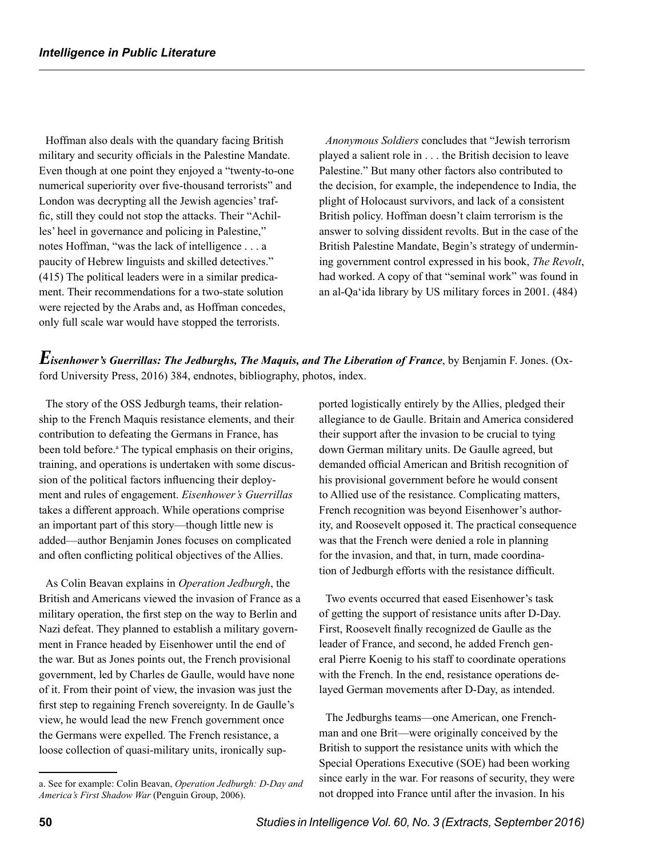Hoffman also deals with the quandary facing British military and security officials in the Palestine Mandate. Even though at one point they enjoyed a "twenty-to-one numerical superiority over five-thousand terrorists" and London was decrypting all the Jewish agencies' traffic, still they could not stop the attacks. Their "Achilles' heel in governance and policing in Palestine," notes Hoffman, "was the lack of intelligence . . . a paucity of Hebrew linguists and skilled detectives." (415) The political leaders were in a similar predicament. Their recommendations for a two-state solution were rejected by the Arabs and, as Hoffman concedes, only full scale war would have stopped the terrorists.

*Anonymous Soldiers* concludes that "Jewish terrorism played a salient role in . . . the British decision to leave Palestine." But many other factors also contributed to the decision, for example, the independence to India, the plight of Holocaust survivors, and lack of a consistent British policy. Hoffman doesn't claim terrorism is the answer to solving dissident revolts. But in the case of the British Palestine Mandate, Begin's strategy of undermining government control expressed in his book, *The Revolt*, had worked. A copy of that "seminal work" was found in an al-Qa'ida library by US military forces in 2001. (484)

*Eisenhower's Guerrillas: The Jedburghs, The Maquis, and The Liberation of France*, by Benjamin F. Jones. (Oxford University Press, 2016) 384, endnotes, bibliography, photos, index.

The story of the OSS Jedburgh teams, their relationship to the French Maquis resistance elements, and their contribution to defeating the Germans in France, has been told before.<sup>a</sup> The typical emphasis on their origins, training, and operations is undertaken with some discussion of the political factors influencing their deployment and rules of engagement. *Eisenhower's Guerrillas*  takes a different approach. While operations comprise an important part of this story—though little new is added—author Benjamin Jones focuses on complicated and often conflicting political objectives of the Allies.

As Colin Beavan explains in *Operation Jedburgh*, the British and Americans viewed the invasion of France as a military operation, the first step on the way to Berlin and Nazi defeat. They planned to establish a military government in France headed by Eisenhower until the end of the war. But as Jones points out, the French provisional government, led by Charles de Gaulle, would have none of it. From their point of view, the invasion was just the first step to regaining French sovereignty. In de Gaulle's view, he would lead the new French government once the Germans were expelled. The French resistance, a loose collection of quasi-military units, ironically supported logistically entirely by the Allies, pledged their allegiance to de Gaulle. Britain and America considered their support after the invasion to be crucial to tying down German military units. De Gaulle agreed, but demanded official American and British recognition of his provisional government before he would consent to Allied use of the resistance. Complicating matters, French recognition was beyond Eisenhower's authority, and Roosevelt opposed it. The practical consequence was that the French were denied a role in planning for the invasion, and that, in turn, made coordination of Jedburgh efforts with the resistance difficult.

Two events occurred that eased Eisenhower's task of getting the support of resistance units after D-Day. First, Roosevelt finally recognized de Gaulle as the leader of France, and second, he added French general Pierre Koenig to his staff to coordinate operations with the French. In the end, resistance operations delayed German movements after D-Day, as intended.

The Jedburghs teams—one American, one Frenchman and one Brit—were originally conceived by the British to support the resistance units with which the Special Operations Executive (SOE) had been working since early in the war. For reasons of security, they were not dropped into France until after the invasion. In his

a. See for example: Colin Beavan, *Operation Jedburgh: D-Day and America's First Shadow War* (Penguin Group, 2006).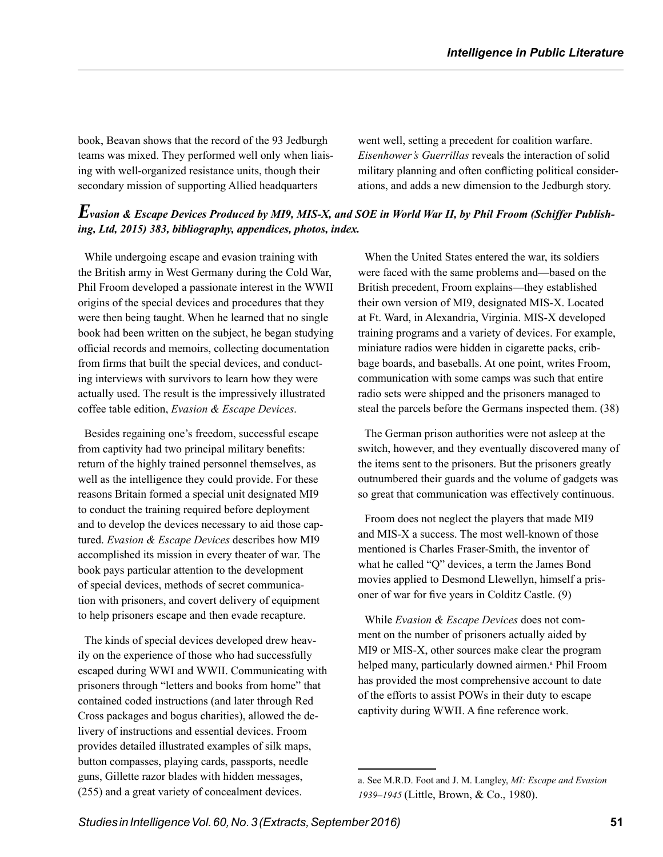book, Beavan shows that the record of the 93 Jedburgh teams was mixed. They performed well only when liaising with well-organized resistance units, though their secondary mission of supporting Allied headquarters

went well, setting a precedent for coalition warfare. *Eisenhower's Guerrillas* reveals the interaction of solid military planning and often conflicting political considerations, and adds a new dimension to the Jedburgh story.

# *Evasion & Escape Devices Produced by MI9, MIS-X, and SOE in World War II, by Phil Froom (Schiffer Publishing, Ltd, 2015) 383, bibliography, appendices, photos, index.*

While undergoing escape and evasion training with the British army in West Germany during the Cold War, Phil Froom developed a passionate interest in the WWII origins of the special devices and procedures that they were then being taught. When he learned that no single book had been written on the subject, he began studying official records and memoirs, collecting documentation from firms that built the special devices, and conducting interviews with survivors to learn how they were actually used. The result is the impressively illustrated coffee table edition, *Evasion & Escape Devices*.

Besides regaining one's freedom, successful escape from captivity had two principal military benefits: return of the highly trained personnel themselves, as well as the intelligence they could provide. For these reasons Britain formed a special unit designated MI9 to conduct the training required before deployment and to develop the devices necessary to aid those captured. *Evasion & Escape Devices* describes how MI9 accomplished its mission in every theater of war. The book pays particular attention to the development of special devices, methods of secret communication with prisoners, and covert delivery of equipment to help prisoners escape and then evade recapture.

The kinds of special devices developed drew heavily on the experience of those who had successfully escaped during WWI and WWII. Communicating with prisoners through "letters and books from home" that contained coded instructions (and later through Red Cross packages and bogus charities), allowed the delivery of instructions and essential devices. Froom provides detailed illustrated examples of silk maps, button compasses, playing cards, passports, needle guns, Gillette razor blades with hidden messages, (255) and a great variety of concealment devices.

When the United States entered the war, its soldiers were faced with the same problems and—based on the British precedent, Froom explains—they established their own version of MI9, designated MIS-X. Located at Ft. Ward, in Alexandria, Virginia. MIS-X developed training programs and a variety of devices. For example, miniature radios were hidden in cigarette packs, cribbage boards, and baseballs. At one point, writes Froom, communication with some camps was such that entire radio sets were shipped and the prisoners managed to steal the parcels before the Germans inspected them. (38)

The German prison authorities were not asleep at the switch, however, and they eventually discovered many of the items sent to the prisoners. But the prisoners greatly outnumbered their guards and the volume of gadgets was so great that communication was effectively continuous.

Froom does not neglect the players that made MI9 and MIS-X a success. The most well-known of those mentioned is Charles Fraser-Smith, the inventor of what he called "Q" devices, a term the James Bond movies applied to Desmond Llewellyn, himself a prisoner of war for five years in Colditz Castle. (9)

While *Evasion & Escape Devices* does not comment on the number of prisoners actually aided by MI9 or MIS-X, other sources make clear the program helped many, particularly downed airmen.<sup>a</sup> Phil Froom has provided the most comprehensive account to date of the efforts to assist POWs in their duty to escape captivity during WWII. A fine reference work.

a. See M.R.D. Foot and J. M. Langley, *MI: Escape and Evasion 1939–1945* (Little, Brown, & Co., 1980).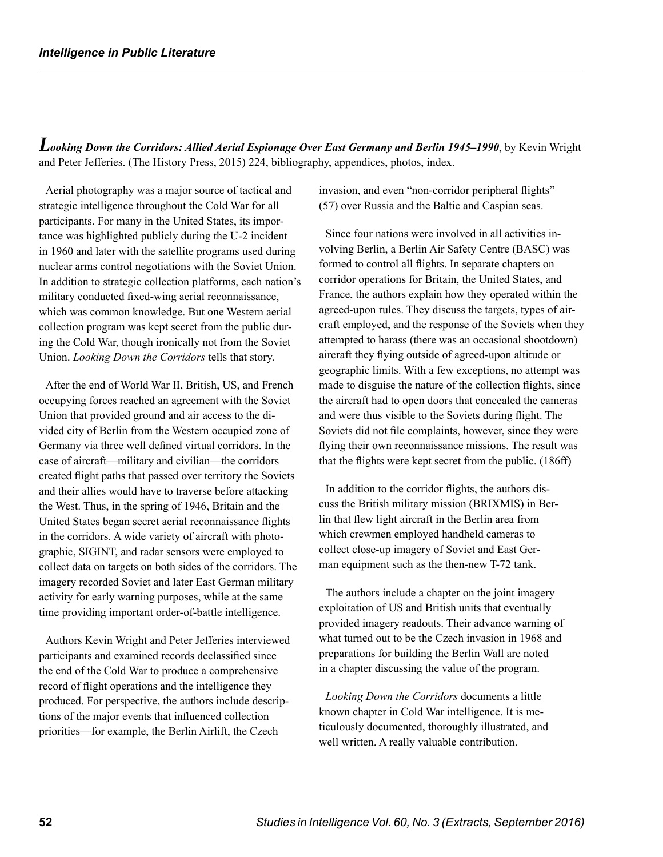*Looking Down the Corridors: Allied Aerial Espionage Over East Germany and Berlin 1945–1990*, by Kevin Wright and Peter Jefferies. (The History Press, 2015) 224, bibliography, appendices, photos, index.

Aerial photography was a major source of tactical and strategic intelligence throughout the Cold War for all participants. For many in the United States, its importance was highlighted publicly during the U-2 incident in 1960 and later with the satellite programs used during nuclear arms control negotiations with the Soviet Union. In addition to strategic collection platforms, each nation's military conducted fixed-wing aerial reconnaissance, which was common knowledge. But one Western aerial collection program was kept secret from the public during the Cold War, though ironically not from the Soviet Union. *Looking Down the Corridors* tells that story.

After the end of World War II, British, US, and French occupying forces reached an agreement with the Soviet Union that provided ground and air access to the divided city of Berlin from the Western occupied zone of Germany via three well defined virtual corridors. In the case of aircraft—military and civilian—the corridors created flight paths that passed over territory the Soviets and their allies would have to traverse before attacking the West. Thus, in the spring of 1946, Britain and the United States began secret aerial reconnaissance flights in the corridors. A wide variety of aircraft with photographic, SIGINT, and radar sensors were employed to collect data on targets on both sides of the corridors. The imagery recorded Soviet and later East German military activity for early warning purposes, while at the same time providing important order-of-battle intelligence.

Authors Kevin Wright and Peter Jefferies interviewed participants and examined records declassified since the end of the Cold War to produce a comprehensive record of flight operations and the intelligence they produced. For perspective, the authors include descriptions of the major events that influenced collection priorities—for example, the Berlin Airlift, the Czech

invasion, and even "non-corridor peripheral flights" (57) over Russia and the Baltic and Caspian seas.

Since four nations were involved in all activities involving Berlin, a Berlin Air Safety Centre (BASC) was formed to control all flights. In separate chapters on corridor operations for Britain, the United States, and France, the authors explain how they operated within the agreed-upon rules. They discuss the targets, types of aircraft employed, and the response of the Soviets when they attempted to harass (there was an occasional shootdown) aircraft they flying outside of agreed-upon altitude or geographic limits. With a few exceptions, no attempt was made to disguise the nature of the collection flights, since the aircraft had to open doors that concealed the cameras and were thus visible to the Soviets during flight. The Soviets did not file complaints, however, since they were flying their own reconnaissance missions. The result was that the flights were kept secret from the public. (186ff)

In addition to the corridor flights, the authors discuss the British military mission (BRIXMIS) in Berlin that flew light aircraft in the Berlin area from which crewmen employed handheld cameras to collect close-up imagery of Soviet and East German equipment such as the then-new T-72 tank.

The authors include a chapter on the joint imagery exploitation of US and British units that eventually provided imagery readouts. Their advance warning of what turned out to be the Czech invasion in 1968 and preparations for building the Berlin Wall are noted in a chapter discussing the value of the program.

*Looking Down the Corridors* documents a little known chapter in Cold War intelligence. It is meticulously documented, thoroughly illustrated, and well written. A really valuable contribution.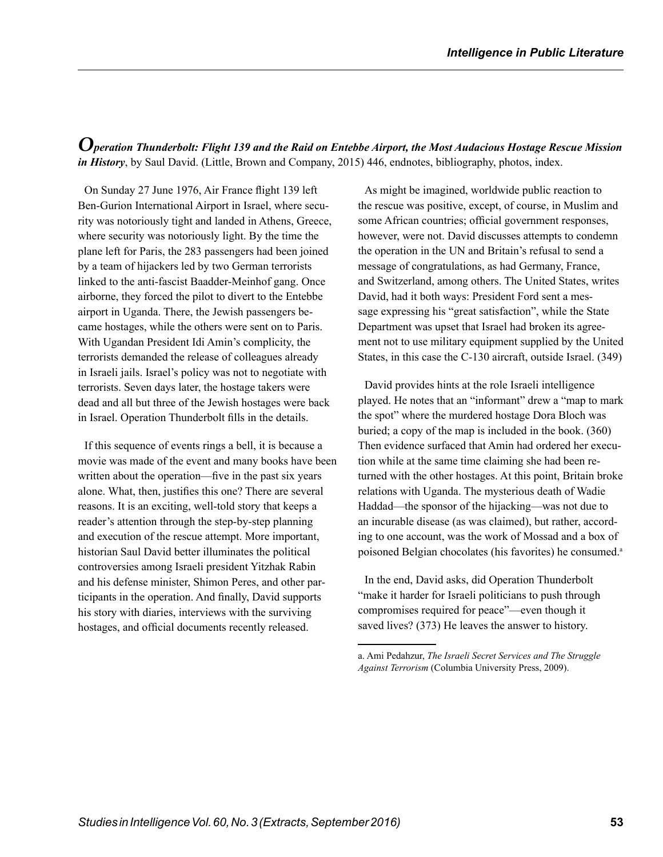*Operation Thunderbolt: Flight 139 and the Raid on Entebbe Airport, the Most Audacious Hostage Rescue Mission in History*, by Saul David. (Little, Brown and Company, 2015) 446, endnotes, bibliography, photos, index.

On Sunday 27 June 1976, Air France flight 139 left Ben-Gurion International Airport in Israel, where security was notoriously tight and landed in Athens, Greece, where security was notoriously light. By the time the plane left for Paris, the 283 passengers had been joined by a team of hijackers led by two German terrorists linked to the anti-fascist Baadder-Meinhof gang. Once airborne, they forced the pilot to divert to the Entebbe airport in Uganda. There, the Jewish passengers became hostages, while the others were sent on to Paris. With Ugandan President Idi Amin's complicity, the terrorists demanded the release of colleagues already in Israeli jails. Israel's policy was not to negotiate with terrorists. Seven days later, the hostage takers were dead and all but three of the Jewish hostages were back in Israel. Operation Thunderbolt fills in the details.

If this sequence of events rings a bell, it is because a movie was made of the event and many books have been written about the operation—five in the past six years alone. What, then, justifies this one? There are several reasons. It is an exciting, well-told story that keeps a reader's attention through the step-by-step planning and execution of the rescue attempt. More important, historian Saul David better illuminates the political controversies among Israeli president Yitzhak Rabin and his defense minister, Shimon Peres, and other participants in the operation. And finally, David supports his story with diaries, interviews with the surviving hostages, and official documents recently released.

As might be imagined, worldwide public reaction to the rescue was positive, except, of course, in Muslim and some African countries; official government responses, however, were not. David discusses attempts to condemn the operation in the UN and Britain's refusal to send a message of congratulations, as had Germany, France, and Switzerland, among others. The United States, writes David, had it both ways: President Ford sent a message expressing his "great satisfaction", while the State Department was upset that Israel had broken its agreement not to use military equipment supplied by the United States, in this case the C-130 aircraft, outside Israel. (349)

David provides hints at the role Israeli intelligence played. He notes that an "informant" drew a "map to mark the spot" where the murdered hostage Dora Bloch was buried; a copy of the map is included in the book. (360) Then evidence surfaced that Amin had ordered her execution while at the same time claiming she had been returned with the other hostages. At this point, Britain broke relations with Uganda. The mysterious death of Wadie Haddad—the sponsor of the hijacking—was not due to an incurable disease (as was claimed), but rather, according to one account, was the work of Mossad and a box of poisoned Belgian chocolates (his favorites) he consumed.<sup>a</sup>

In the end, David asks, did Operation Thunderbolt "make it harder for Israeli politicians to push through compromises required for peace"—even though it saved lives? (373) He leaves the answer to history.

a. Ami Pedahzur, *The Israeli Secret Services and The Struggle Against Terrorism* (Columbia University Press, 2009).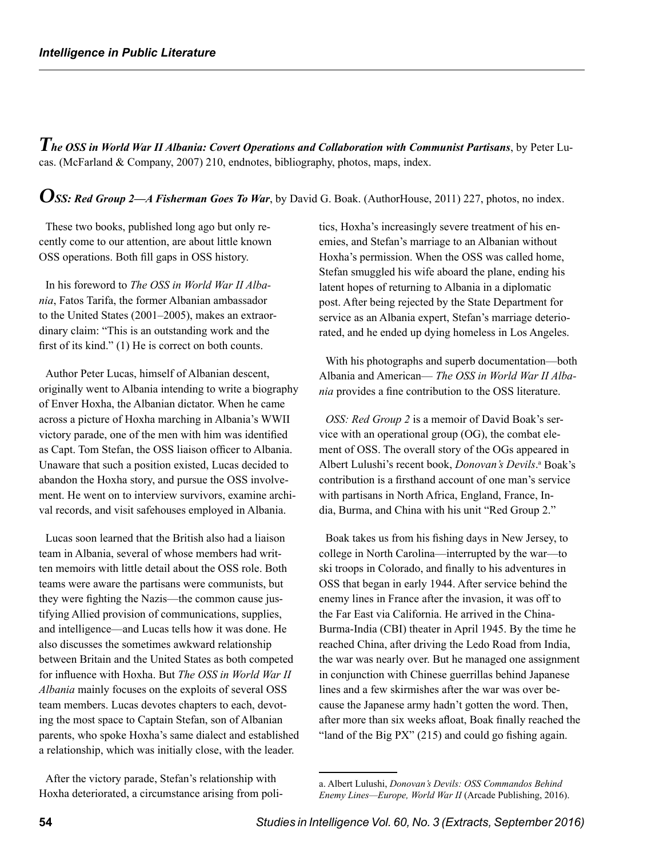*The OSS in World War II Albania: Covert Operations and Collaboration with Communist Partisans*, by Peter Lucas. (McFarland & Company, 2007) 210, endnotes, bibliography, photos, maps, index.

*OSS: Red Group 2—A Fisherman Goes To War*, by David G. Boak. (AuthorHouse, 2011) 227, photos, no index.

These two books, published long ago but only recently come to our attention, are about little known OSS operations. Both fill gaps in OSS history.

In his foreword to *The OSS in World War II Albania*, Fatos Tarifa, the former Albanian ambassador to the United States (2001–2005), makes an extraordinary claim: "This is an outstanding work and the first of its kind." (1) He is correct on both counts.

Author Peter Lucas, himself of Albanian descent, originally went to Albania intending to write a biography of Enver Hoxha, the Albanian dictator. When he came across a picture of Hoxha marching in Albania's WWII victory parade, one of the men with him was identified as Capt. Tom Stefan, the OSS liaison officer to Albania. Unaware that such a position existed, Lucas decided to abandon the Hoxha story, and pursue the OSS involvement. He went on to interview survivors, examine archival records, and visit safehouses employed in Albania.

Lucas soon learned that the British also had a liaison team in Albania, several of whose members had written memoirs with little detail about the OSS role. Both teams were aware the partisans were communists, but they were fighting the Nazis—the common cause justifying Allied provision of communications, supplies, and intelligence—and Lucas tells how it was done. He also discusses the sometimes awkward relationship between Britain and the United States as both competed for influence with Hoxha. But *The OSS in World War II Albania* mainly focuses on the exploits of several OSS team members. Lucas devotes chapters to each, devoting the most space to Captain Stefan, son of Albanian parents, who spoke Hoxha's same dialect and established a relationship, which was initially close, with the leader.

After the victory parade, Stefan's relationship with Hoxha deteriorated, a circumstance arising from politics, Hoxha's increasingly severe treatment of his enemies, and Stefan's marriage to an Albanian without Hoxha's permission. When the OSS was called home, Stefan smuggled his wife aboard the plane, ending his latent hopes of returning to Albania in a diplomatic post. After being rejected by the State Department for service as an Albania expert, Stefan's marriage deteriorated, and he ended up dying homeless in Los Angeles.

With his photographs and superb documentation—both Albania and American— *The OSS in World War II Albania* provides a fine contribution to the OSS literature.

*OSS: Red Group 2* is a memoir of David Boak's service with an operational group (OG), the combat element of OSS. The overall story of the OGs appeared in Albert Lulushi's recent book, *Donovan's Devils*.<sup>a</sup> Boak's contribution is a firsthand account of one man's service with partisans in North Africa, England, France, India, Burma, and China with his unit "Red Group 2."

Boak takes us from his fishing days in New Jersey, to college in North Carolina—interrupted by the war—to ski troops in Colorado, and finally to his adventures in OSS that began in early 1944. After service behind the enemy lines in France after the invasion, it was off to the Far East via California. He arrived in the China-Burma-India (CBI) theater in April 1945. By the time he reached China, after driving the Ledo Road from India, the war was nearly over. But he managed one assignment in conjunction with Chinese guerrillas behind Japanese lines and a few skirmishes after the war was over because the Japanese army hadn't gotten the word. Then, after more than six weeks afloat, Boak finally reached the "land of the Big PX" (215) and could go fishing again.

a. Albert Lulushi, *Donovan's Devils: OSS Commandos Behind Enemy Lines—Europe, World War II* (Arcade Publishing, 2016).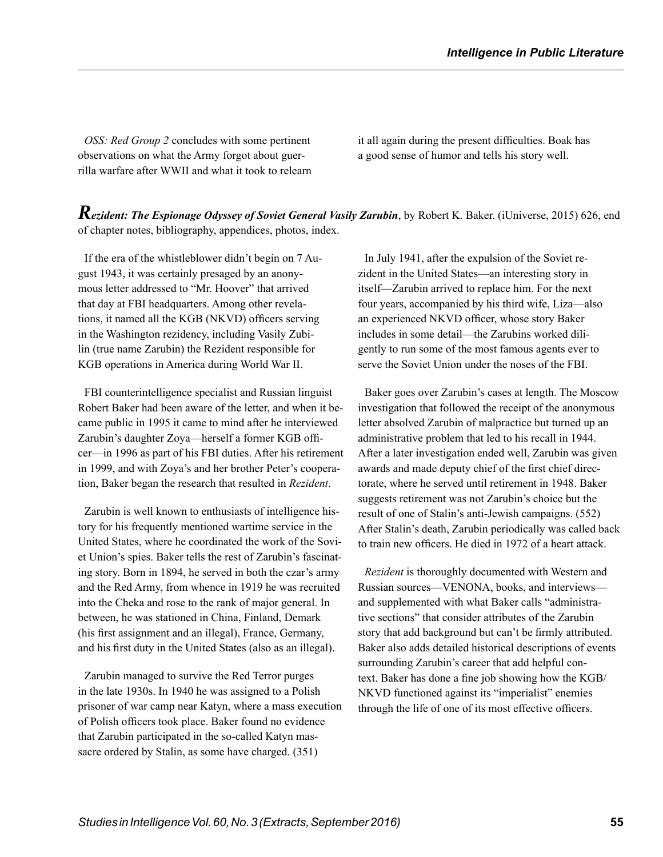*OSS: Red Group 2* concludes with some pertinent observations on what the Army forgot about guerrilla warfare after WWII and what it took to relearn it all again during the present difficulties. Boak has a good sense of humor and tells his story well.

*Rezident: The Espionage Odyssey of Soviet General Vasily Zarubin*, by Robert K. Baker. (iUniverse, 2015) 626, end of chapter notes, bibliography, appendices, photos, index.

If the era of the whistleblower didn't begin on 7 August 1943, it was certainly presaged by an anonymous letter addressed to "Mr. Hoover" that arrived that day at FBI headquarters. Among other revelations, it named all the KGB (NKVD) officers serving in the Washington rezidency, including Vasily Zubilin (true name Zarubin) the Rezident responsible for KGB operations in America during World War II.

FBI counterintelligence specialist and Russian linguist Robert Baker had been aware of the letter, and when it became public in 1995 it came to mind after he interviewed Zarubin's daughter Zoya—herself a former KGB officer—in 1996 as part of his FBI duties. After his retirement in 1999, and with Zoya's and her brother Peter's cooperation, Baker began the research that resulted in *Rezident*.

Zarubin is well known to enthusiasts of intelligence history for his frequently mentioned wartime service in the United States, where he coordinated the work of the Soviet Union's spies. Baker tells the rest of Zarubin's fascinating story. Born in 1894, he served in both the czar's army and the Red Army, from whence in 1919 he was recruited into the Cheka and rose to the rank of major general. In between, he was stationed in China, Finland, Demark (his first assignment and an illegal), France, Germany, and his first duty in the United States (also as an illegal).

Zarubin managed to survive the Red Terror purges in the late 1930s. In 1940 he was assigned to a Polish prisoner of war camp near Katyn, where a mass execution of Polish officers took place. Baker found no evidence that Zarubin participated in the so-called Katyn massacre ordered by Stalin, as some have charged. (351)

In July 1941, after the expulsion of the Soviet rezident in the United States—an interesting story in itself—Zarubin arrived to replace him. For the next four years, accompanied by his third wife, Liza—also an experienced NKVD officer, whose story Baker includes in some detail—the Zarubins worked diligently to run some of the most famous agents ever to serve the Soviet Union under the noses of the FBI.

Baker goes over Zarubin's cases at length. The Moscow investigation that followed the receipt of the anonymous letter absolved Zarubin of malpractice but turned up an administrative problem that led to his recall in 1944. After a later investigation ended well, Zarubin was given awards and made deputy chief of the first chief directorate, where he served until retirement in 1948. Baker suggests retirement was not Zarubin's choice but the result of one of Stalin's anti-Jewish campaigns. (552) After Stalin's death, Zarubin periodically was called back to train new officers. He died in 1972 of a heart attack.

*Rezident* is thoroughly documented with Western and Russian sources—VENONA, books, and interviews and supplemented with what Baker calls "administrative sections" that consider attributes of the Zarubin story that add background but can't be firmly attributed. Baker also adds detailed historical descriptions of events surrounding Zarubin's career that add helpful context. Baker has done a fine job showing how the KGB/ NKVD functioned against its "imperialist" enemies through the life of one of its most effective officers.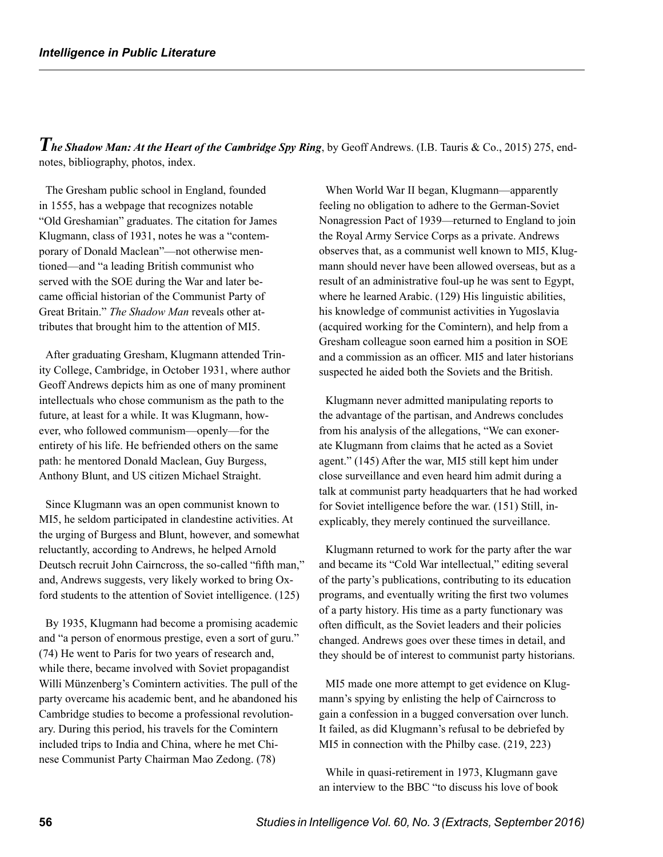*The Shadow Man: At the Heart of the Cambridge Spy Ring*, by Geoff Andrews. (I.B. Tauris & Co., 2015) 275, endnotes, bibliography, photos, index.

The Gresham public school in England, founded in 1555, has a webpage that recognizes notable "Old Greshamian" graduates. The citation for James Klugmann, class of 1931, notes he was a "contemporary of Donald Maclean"—not otherwise mentioned—and "a leading British communist who served with the SOE during the War and later became official historian of the Communist Party of Great Britain." *The Shadow Man* reveals other attributes that brought him to the attention of MI5.

After graduating Gresham, Klugmann attended Trinity College, Cambridge, in October 1931, where author Geoff Andrews depicts him as one of many prominent intellectuals who chose communism as the path to the future, at least for a while. It was Klugmann, however, who followed communism—openly—for the entirety of his life. He befriended others on the same path: he mentored Donald Maclean, Guy Burgess, Anthony Blunt, and US citizen Michael Straight.

Since Klugmann was an open communist known to MI5, he seldom participated in clandestine activities. At the urging of Burgess and Blunt, however, and somewhat reluctantly, according to Andrews, he helped Arnold Deutsch recruit John Cairncross, the so-called "fifth man," and, Andrews suggests, very likely worked to bring Oxford students to the attention of Soviet intelligence. (125)

By 1935, Klugmann had become a promising academic and "a person of enormous prestige, even a sort of guru." (74) He went to Paris for two years of research and, while there, became involved with Soviet propagandist Willi Münzenberg's Comintern activities. The pull of the party overcame his academic bent, and he abandoned his Cambridge studies to become a professional revolutionary. During this period, his travels for the Comintern included trips to India and China, where he met Chinese Communist Party Chairman Mao Zedong. (78)

When World War II began, Klugmann—apparently feeling no obligation to adhere to the German-Soviet Nonagression Pact of 1939—returned to England to join the Royal Army Service Corps as a private. Andrews observes that, as a communist well known to MI5, Klugmann should never have been allowed overseas, but as a result of an administrative foul-up he was sent to Egypt, where he learned Arabic. (129) His linguistic abilities, his knowledge of communist activities in Yugoslavia (acquired working for the Comintern), and help from a Gresham colleague soon earned him a position in SOE and a commission as an officer. MI5 and later historians suspected he aided both the Soviets and the British.

Klugmann never admitted manipulating reports to the advantage of the partisan, and Andrews concludes from his analysis of the allegations, "We can exonerate Klugmann from claims that he acted as a Soviet agent." (145) After the war, MI5 still kept him under close surveillance and even heard him admit during a talk at communist party headquarters that he had worked for Soviet intelligence before the war. (151) Still, inexplicably, they merely continued the surveillance.

Klugmann returned to work for the party after the war and became its "Cold War intellectual," editing several of the party's publications, contributing to its education programs, and eventually writing the first two volumes of a party history. His time as a party functionary was often difficult, as the Soviet leaders and their policies changed. Andrews goes over these times in detail, and they should be of interest to communist party historians.

MI5 made one more attempt to get evidence on Klugmann's spying by enlisting the help of Cairncross to gain a confession in a bugged conversation over lunch. It failed, as did Klugmann's refusal to be debriefed by MI5 in connection with the Philby case. (219, 223)

While in quasi-retirement in 1973, Klugmann gave an interview to the BBC "to discuss his love of book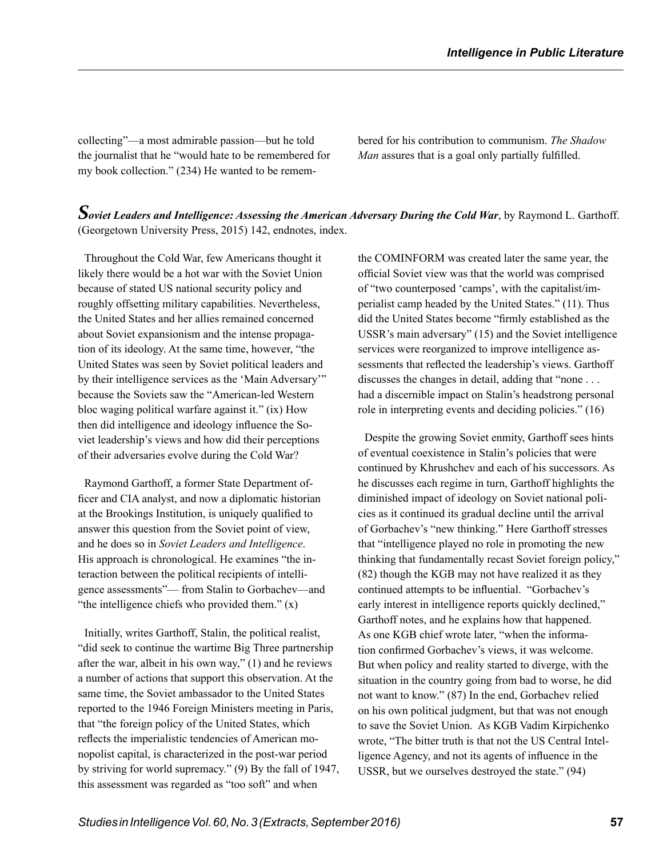collecting"—a most admirable passion—but he told the journalist that he "would hate to be remembered for my book collection." (234) He wanted to be remembered for his contribution to communism. *The Shadow Man* assures that is a goal only partially fulfilled.

### *Soviet Leaders and Intelligence: Assessing the American Adversary During the Cold War*, by Raymond L. Garthoff. (Georgetown University Press, 2015) 142, endnotes, index.

Throughout the Cold War, few Americans thought it likely there would be a hot war with the Soviet Union because of stated US national security policy and roughly offsetting military capabilities. Nevertheless, the United States and her allies remained concerned about Soviet expansionism and the intense propagation of its ideology. At the same time, however, "the United States was seen by Soviet political leaders and by their intelligence services as the 'Main Adversary'" because the Soviets saw the "American-led Western bloc waging political warfare against it." (ix) How then did intelligence and ideology influence the Soviet leadership's views and how did their perceptions of their adversaries evolve during the Cold War?

Raymond Garthoff, a former State Department officer and CIA analyst, and now a diplomatic historian at the Brookings Institution, is uniquely qualified to answer this question from the Soviet point of view, and he does so in *Soviet Leaders and Intelligence*. His approach is chronological. He examines "the interaction between the political recipients of intelligence assessments"— from Stalin to Gorbachev—and "the intelligence chiefs who provided them."  $(x)$ 

Initially, writes Garthoff, Stalin, the political realist, "did seek to continue the wartime Big Three partnership after the war, albeit in his own way," (1) and he reviews a number of actions that support this observation. At the same time, the Soviet ambassador to the United States reported to the 1946 Foreign Ministers meeting in Paris, that "the foreign policy of the United States, which reflects the imperialistic tendencies of American monopolist capital, is characterized in the post-war period by striving for world supremacy." (9) By the fall of 1947, this assessment was regarded as "too soft" and when

the COMINFORM was created later the same year, the official Soviet view was that the world was comprised of "two counterposed 'camps', with the capitalist/imperialist camp headed by the United States." (11). Thus did the United States become "firmly established as the USSR's main adversary" (15) and the Soviet intelligence services were reorganized to improve intelligence assessments that reflected the leadership's views. Garthoff discusses the changes in detail, adding that "none . . . had a discernible impact on Stalin's headstrong personal role in interpreting events and deciding policies." (16)

Despite the growing Soviet enmity, Garthoff sees hints of eventual coexistence in Stalin's policies that were continued by Khrushchev and each of his successors. As he discusses each regime in turn, Garthoff highlights the diminished impact of ideology on Soviet national policies as it continued its gradual decline until the arrival of Gorbachev's "new thinking." Here Garthoff stresses that "intelligence played no role in promoting the new thinking that fundamentally recast Soviet foreign policy," (82) though the KGB may not have realized it as they continued attempts to be influential. "Gorbachev's early interest in intelligence reports quickly declined," Garthoff notes, and he explains how that happened. As one KGB chief wrote later, "when the information confirmed Gorbachev's views, it was welcome. But when policy and reality started to diverge, with the situation in the country going from bad to worse, he did not want to know." (87) In the end, Gorbachev relied on his own political judgment, but that was not enough to save the Soviet Union. As KGB Vadim Kirpichenko wrote, "The bitter truth is that not the US Central Intelligence Agency, and not its agents of influence in the USSR, but we ourselves destroyed the state." (94)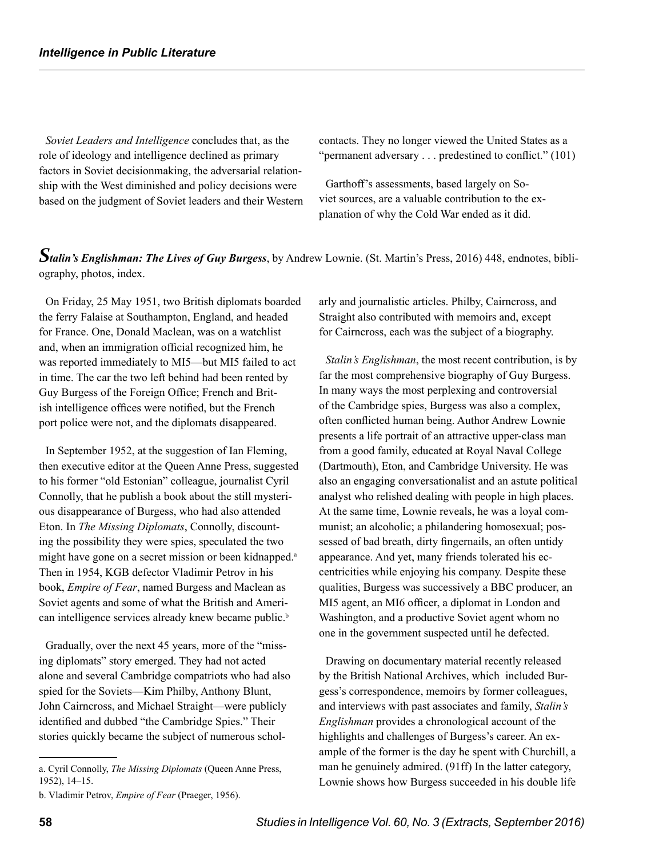*Soviet Leaders and Intelligence* concludes that, as the role of ideology and intelligence declined as primary factors in Soviet decisionmaking, the adversarial relationship with the West diminished and policy decisions were based on the judgment of Soviet leaders and their Western contacts. They no longer viewed the United States as a "permanent adversary . . . predestined to conflict." (101)

Garthoff's assessments, based largely on Soviet sources, are a valuable contribution to the explanation of why the Cold War ended as it did.

*Stalin's Englishman: The Lives of Guy Burgess*, by Andrew Lownie. (St. Martin's Press, 2016) 448, endnotes, bibliography, photos, index.

On Friday, 25 May 1951, two British diplomats boarded the ferry Falaise at Southampton, England, and headed for France. One, Donald Maclean, was on a watchlist and, when an immigration official recognized him, he was reported immediately to MI5—but MI5 failed to act in time. The car the two left behind had been rented by Guy Burgess of the Foreign Office; French and British intelligence offices were notified, but the French port police were not, and the diplomats disappeared.

In September 1952, at the suggestion of Ian Fleming, then executive editor at the Queen Anne Press, suggested to his former "old Estonian" colleague, journalist Cyril Connolly, that he publish a book about the still mysterious disappearance of Burgess, who had also attended Eton. In *The Missing Diplomats*, Connolly, discounting the possibility they were spies, speculated the two might have gone on a secret mission or been kidnapped.<sup>a</sup> Then in 1954, KGB defector Vladimir Petrov in his book, *Empire of Fear*, named Burgess and Maclean as Soviet agents and some of what the British and American intelligence services already knew became public.<sup>b</sup>

Gradually, over the next 45 years, more of the "missing diplomats" story emerged. They had not acted alone and several Cambridge compatriots who had also spied for the Soviets—Kim Philby, Anthony Blunt, John Cairncross, and Michael Straight—were publicly identified and dubbed "the Cambridge Spies." Their stories quickly became the subject of numerous scholarly and journalistic articles. Philby, Cairncross, and Straight also contributed with memoirs and, except for Cairncross, each was the subject of a biography.

*Stalin's Englishman*, the most recent contribution, is by far the most comprehensive biography of Guy Burgess. In many ways the most perplexing and controversial of the Cambridge spies, Burgess was also a complex, often conflicted human being. Author Andrew Lownie presents a life portrait of an attractive upper-class man from a good family, educated at Royal Naval College (Dartmouth), Eton, and Cambridge University. He was also an engaging conversationalist and an astute political analyst who relished dealing with people in high places. At the same time, Lownie reveals, he was a loyal communist; an alcoholic; a philandering homosexual; possessed of bad breath, dirty fingernails, an often untidy appearance. And yet, many friends tolerated his eccentricities while enjoying his company. Despite these qualities, Burgess was successively a BBC producer, an MI5 agent, an MI6 officer, a diplomat in London and Washington, and a productive Soviet agent whom no one in the government suspected until he defected.

Drawing on documentary material recently released by the British National Archives, which included Burgess's correspondence, memoirs by former colleagues, and interviews with past associates and family, *Stalin's Englishman* provides a chronological account of the highlights and challenges of Burgess's career. An example of the former is the day he spent with Churchill, a man he genuinely admired. (91ff) In the latter category, Lownie shows how Burgess succeeded in his double life

a. Cyril Connolly, *The Missing Diplomats* (Queen Anne Press, 1952), 14–15.

b. Vladimir Petrov, *Empire of Fear* (Praeger, 1956).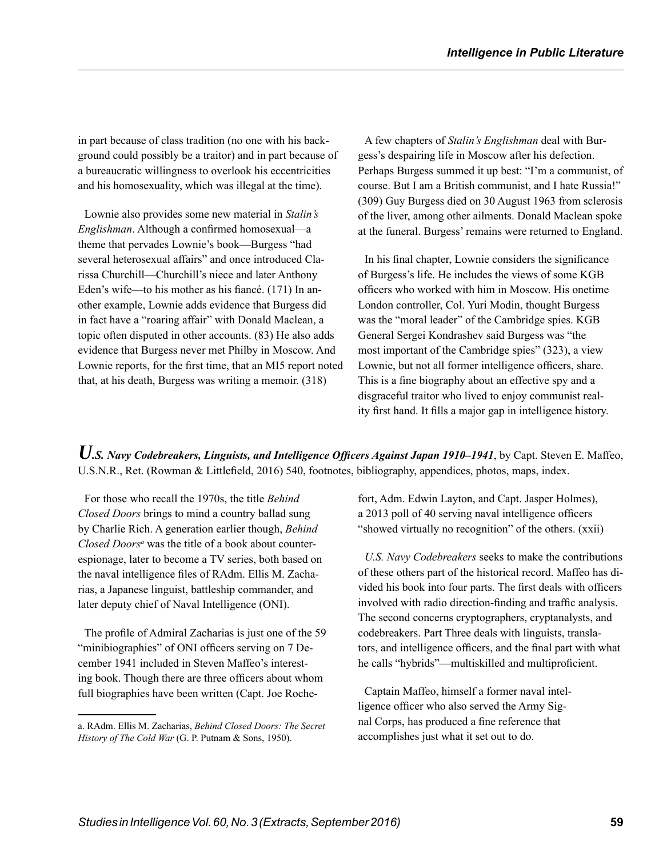in part because of class tradition (no one with his background could possibly be a traitor) and in part because of a bureaucratic willingness to overlook his eccentricities and his homosexuality, which was illegal at the time).

Lownie also provides some new material in *Stalin's Englishman*. Although a confirmed homosexual—a theme that pervades Lownie's book—Burgess "had several heterosexual affairs" and once introduced Clarissa Churchill—Churchill's niece and later Anthony Eden's wife—to his mother as his fiancé. (171) In another example, Lownie adds evidence that Burgess did in fact have a "roaring affair" with Donald Maclean, a topic often disputed in other accounts. (83) He also adds evidence that Burgess never met Philby in Moscow. And Lownie reports, for the first time, that an MI5 report noted that, at his death, Burgess was writing a memoir. (318)

A few chapters of *Stalin's Englishman* deal with Burgess's despairing life in Moscow after his defection. Perhaps Burgess summed it up best: "I'm a communist, of course. But I am a British communist, and I hate Russia!" (309) Guy Burgess died on 30 August 1963 from sclerosis of the liver, among other ailments. Donald Maclean spoke at the funeral. Burgess' remains were returned to England.

In his final chapter, Lownie considers the significance of Burgess's life. He includes the views of some KGB officers who worked with him in Moscow. His onetime London controller, Col. Yuri Modin, thought Burgess was the "moral leader" of the Cambridge spies. KGB General Sergei Kondrashev said Burgess was "the most important of the Cambridge spies" (323), a view Lownie, but not all former intelligence officers, share. This is a fine biography about an effective spy and a disgraceful traitor who lived to enjoy communist reality first hand. It fills a major gap in intelligence history.

*U.S. Navy Codebreakers, Linguists, and Intelligence Officers Against Japan 1910–1941*, by Capt. Steven E. Maffeo, U.S.N.R., Ret. (Rowman & Littlefield, 2016) 540, footnotes, bibliography, appendices, photos, maps, index.

For those who recall the 1970s, the title *Behind Closed Doors* brings to mind a country ballad sung by Charlie Rich. A generation earlier though, *Behind*  Closed Doors<sup>a</sup> was the title of a book about counterespionage, later to become a TV series, both based on the naval intelligence files of RAdm. Ellis M. Zacharias, a Japanese linguist, battleship commander, and later deputy chief of Naval Intelligence (ONI).

The profile of Admiral Zacharias is just one of the 59 "minibiographies" of ONI officers serving on 7 December 1941 included in Steven Maffeo's interesting book. Though there are three officers about whom full biographies have been written (Capt. Joe Rochefort, Adm. Edwin Layton, and Capt. Jasper Holmes), a 2013 poll of 40 serving naval intelligence officers "showed virtually no recognition" of the others. (xxii)

*U.S. Navy Codebreakers* seeks to make the contributions of these others part of the historical record. Maffeo has divided his book into four parts. The first deals with officers involved with radio direction-finding and traffic analysis. The second concerns cryptographers, cryptanalysts, and codebreakers. Part Three deals with linguists, translators, and intelligence officers, and the final part with what he calls "hybrids"—multiskilled and multiproficient.

Captain Maffeo, himself a former naval intelligence officer who also served the Army Signal Corps, has produced a fine reference that accomplishes just what it set out to do.

a. RAdm. Ellis M. Zacharias, *Behind Closed Doors: The Secret History of The Cold War* (G. P. Putnam & Sons, 1950).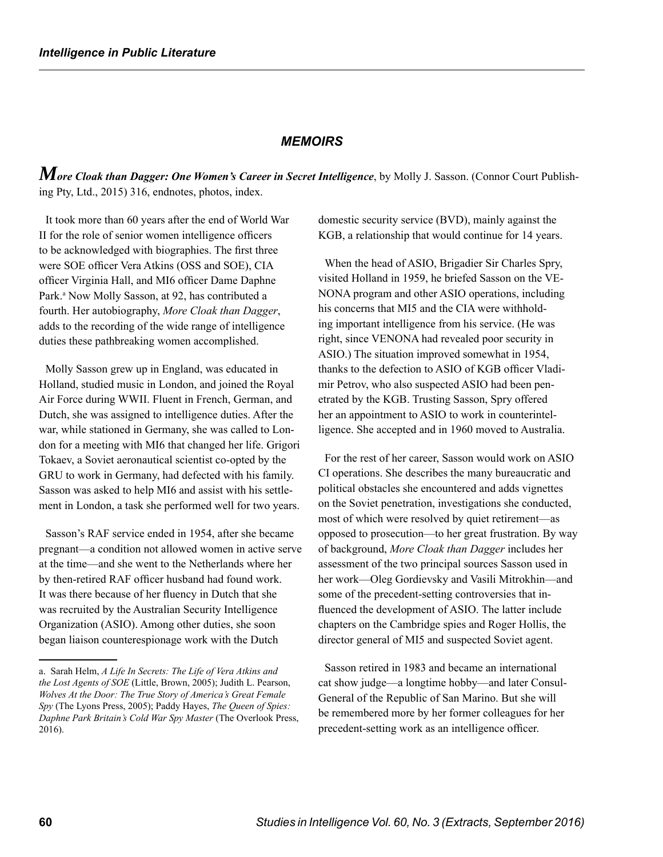#### *MEMOIRS*

*More Cloak than Dagger: One Women's Career in Secret Intelligence*, by Molly J. Sasson. (Connor Court Publishing Pty, Ltd., 2015) 316, endnotes, photos, index.

It took more than 60 years after the end of World War II for the role of senior women intelligence officers to be acknowledged with biographies. The first three were SOE officer Vera Atkins (OSS and SOE), CIA officer Virginia Hall, and MI6 officer Dame Daphne Park.<sup>a</sup> Now Molly Sasson, at 92, has contributed a fourth. Her autobiography, *More Cloak than Dagger*, adds to the recording of the wide range of intelligence duties these pathbreaking women accomplished.

Molly Sasson grew up in England, was educated in Holland, studied music in London, and joined the Royal Air Force during WWII. Fluent in French, German, and Dutch, she was assigned to intelligence duties. After the war, while stationed in Germany, she was called to London for a meeting with MI6 that changed her life. Grigori Tokaev, a Soviet aeronautical scientist co-opted by the GRU to work in Germany, had defected with his family. Sasson was asked to help MI6 and assist with his settlement in London, a task she performed well for two years.

Sasson's RAF service ended in 1954, after she became pregnant—a condition not allowed women in active serve at the time—and she went to the Netherlands where her by then-retired RAF officer husband had found work. It was there because of her fluency in Dutch that she was recruited by the Australian Security Intelligence Organization (ASIO). Among other duties, she soon began liaison counterespionage work with the Dutch

domestic security service (BVD), mainly against the KGB, a relationship that would continue for 14 years.

When the head of ASIO, Brigadier Sir Charles Spry, visited Holland in 1959, he briefed Sasson on the VE-NONA program and other ASIO operations, including his concerns that MI5 and the CIA were withholding important intelligence from his service. (He was right, since VENONA had revealed poor security in ASIO.) The situation improved somewhat in 1954, thanks to the defection to ASIO of KGB officer Vladimir Petrov, who also suspected ASIO had been penetrated by the KGB. Trusting Sasson, Spry offered her an appointment to ASIO to work in counterintelligence. She accepted and in 1960 moved to Australia.

For the rest of her career, Sasson would work on ASIO CI operations. She describes the many bureaucratic and political obstacles she encountered and adds vignettes on the Soviet penetration, investigations she conducted, most of which were resolved by quiet retirement—as opposed to prosecution—to her great frustration. By way of background, *More Cloak than Dagger* includes her assessment of the two principal sources Sasson used in her work—Oleg Gordievsky and Vasili Mitrokhin—and some of the precedent-setting controversies that influenced the development of ASIO. The latter include chapters on the Cambridge spies and Roger Hollis, the director general of MI5 and suspected Soviet agent.

Sasson retired in 1983 and became an international cat show judge—a longtime hobby—and later Consul-General of the Republic of San Marino. But she will be remembered more by her former colleagues for her precedent-setting work as an intelligence officer.

a. Sarah Helm, *A Life In Secrets: The Life of Vera Atkins and the Lost Agents of SOE* (Little, Brown, 2005); Judith L. Pearson, *Wolves At the Door: The True Story of America's Great Female Spy* (The Lyons Press, 2005); Paddy Hayes, *The Queen of Spies: Daphne Park Britain's Cold War Spy Master* (The Overlook Press, 2016).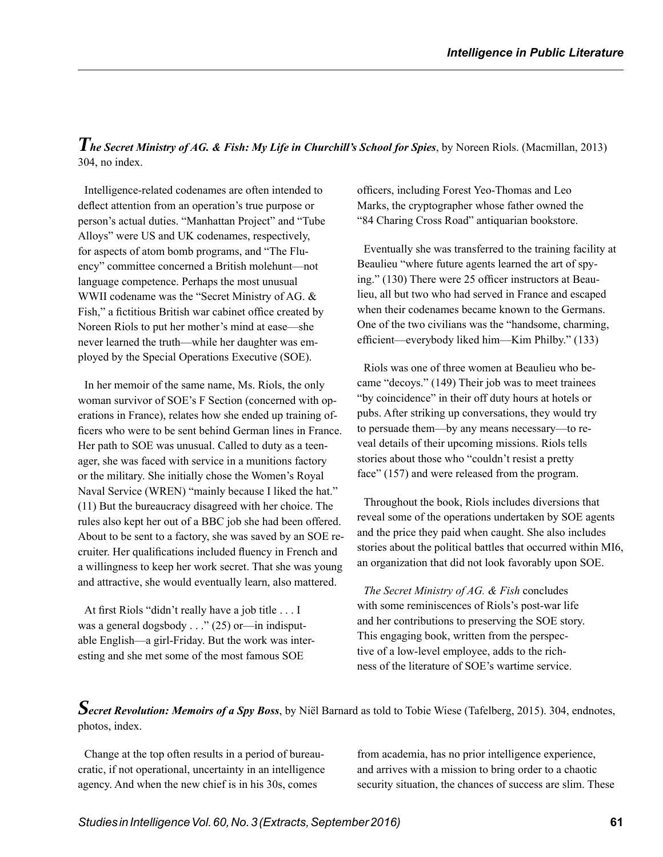*The Secret Ministry of AG. & Fish: My Life in Churchill's School for Spies*, by Noreen Riols. (Macmillan, 2013) 304, no index.

Intelligence-related codenames are often intended to deflect attention from an operation's true purpose or person's actual duties. "Manhattan Project" and "Tube Alloys" were US and UK codenames, respectively, for aspects of atom bomb programs, and "The Fluency" committee concerned a British molehunt—not language competence. Perhaps the most unusual WWII codename was the "Secret Ministry of AG. & Fish," a fictitious British war cabinet office created by Noreen Riols to put her mother's mind at ease—she never learned the truth—while her daughter was employed by the Special Operations Executive (SOE).

In her memoir of the same name, Ms. Riols, the only woman survivor of SOE's F Section (concerned with operations in France), relates how she ended up training officers who were to be sent behind German lines in France. Her path to SOE was unusual. Called to duty as a teenager, she was faced with service in a munitions factory or the military. She initially chose the Women's Royal Naval Service (WREN) "mainly because I liked the hat." (11) But the bureaucracy disagreed with her choice. The rules also kept her out of a BBC job she had been offered. About to be sent to a factory, she was saved by an SOE recruiter. Her qualifications included fluency in French and a willingness to keep her work secret. That she was young and attractive, she would eventually learn, also mattered.

At first Riols "didn't really have a job title . . . I was a general dogsbody . . ." (25) or—in indisputable English—a girl-Friday. But the work was interesting and she met some of the most famous SOE

officers, including Forest Yeo-Thomas and Leo Marks, the cryptographer whose father owned the "84 Charing Cross Road" antiquarian bookstore.

Eventually she was transferred to the training facility at Beaulieu "where future agents learned the art of spying." (130) There were 25 officer instructors at Beaulieu, all but two who had served in France and escaped when their codenames became known to the Germans. One of the two civilians was the "handsome, charming, efficient—everybody liked him—Kim Philby." (133)

Riols was one of three women at Beaulieu who became "decoys." (149) Their job was to meet trainees "by coincidence" in their off duty hours at hotels or pubs. After striking up conversations, they would try to persuade them—by any means necessary—to reveal details of their upcoming missions. Riols tells stories about those who "couldn't resist a pretty face" (157) and were released from the program.

Throughout the book, Riols includes diversions that reveal some of the operations undertaken by SOE agents and the price they paid when caught. She also includes stories about the political battles that occurred within MI6, an organization that did not look favorably upon SOE.

*The Secret Ministry of AG. & Fish* concludes with some reminiscences of Riols's post-war life and her contributions to preserving the SOE story. This engaging book, written from the perspective of a low-level employee, adds to the richness of the literature of SOE's wartime service.

*Secret Revolution: Memoirs of a Spy Boss*, by Niël Barnard as told to Tobie Wiese (Tafelberg, 2015). 304, endnotes, photos, index.

Change at the top often results in a period of bureaucratic, if not operational, uncertainty in an intelligence agency. And when the new chief is in his 30s, comes

from academia, has no prior intelligence experience, and arrives with a mission to bring order to a chaotic security situation, the chances of success are slim. These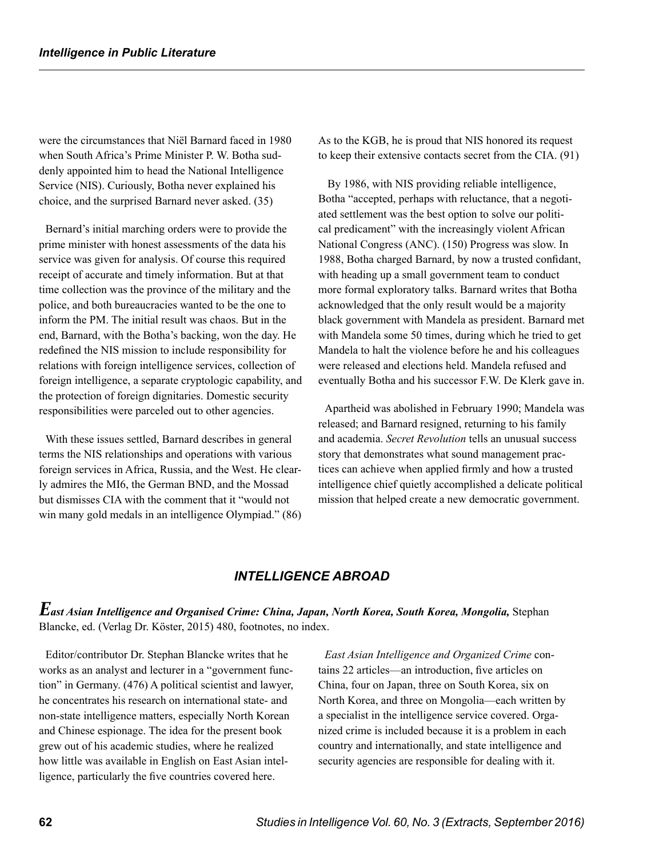were the circumstances that Niël Barnard faced in 1980 when South Africa's Prime Minister P. W. Botha suddenly appointed him to head the National Intelligence Service (NIS). Curiously, Botha never explained his choice, and the surprised Barnard never asked. (35)

Bernard's initial marching orders were to provide the prime minister with honest assessments of the data his service was given for analysis. Of course this required receipt of accurate and timely information. But at that time collection was the province of the military and the police, and both bureaucracies wanted to be the one to inform the PM. The initial result was chaos. But in the end, Barnard, with the Botha's backing, won the day. He redefined the NIS mission to include responsibility for relations with foreign intelligence services, collection of foreign intelligence, a separate cryptologic capability, and the protection of foreign dignitaries. Domestic security responsibilities were parceled out to other agencies.

With these issues settled, Barnard describes in general terms the NIS relationships and operations with various foreign services in Africa, Russia, and the West. He clearly admires the MI6, the German BND, and the Mossad but dismisses CIA with the comment that it "would not win many gold medals in an intelligence Olympiad." (86) As to the KGB, he is proud that NIS honored its request to keep their extensive contacts secret from the CIA. (91)

 By 1986, with NIS providing reliable intelligence, Botha "accepted, perhaps with reluctance, that a negotiated settlement was the best option to solve our political predicament" with the increasingly violent African National Congress (ANC). (150) Progress was slow. In 1988, Botha charged Barnard, by now a trusted confidant, with heading up a small government team to conduct more formal exploratory talks. Barnard writes that Botha acknowledged that the only result would be a majority black government with Mandela as president. Barnard met with Mandela some 50 times, during which he tried to get Mandela to halt the violence before he and his colleagues were released and elections held. Mandela refused and eventually Botha and his successor F.W. De Klerk gave in.

Apartheid was abolished in February 1990; Mandela was released; and Barnard resigned, returning to his family and academia. *Secret Revolution* tells an unusual success story that demonstrates what sound management practices can achieve when applied firmly and how a trusted intelligence chief quietly accomplished a delicate political mission that helped create a new democratic government.

### *INTELLIGENCE ABROAD*

*East Asian Intelligence and Organised Crime: China, Japan, North Korea, South Korea, Mongolia,* Stephan Blancke, ed. (Verlag Dr. Köster, 2015) 480, footnotes, no index.

Editor/contributor Dr. Stephan Blancke writes that he works as an analyst and lecturer in a "government function" in Germany. (476) A political scientist and lawyer, he concentrates his research on international state- and non-state intelligence matters, especially North Korean and Chinese espionage. The idea for the present book grew out of his academic studies, where he realized how little was available in English on East Asian intelligence, particularly the five countries covered here.

*East Asian Intelligence and Organized Crime* contains 22 articles—an introduction, five articles on China, four on Japan, three on South Korea, six on North Korea, and three on Mongolia—each written by a specialist in the intelligence service covered. Organized crime is included because it is a problem in each country and internationally, and state intelligence and security agencies are responsible for dealing with it.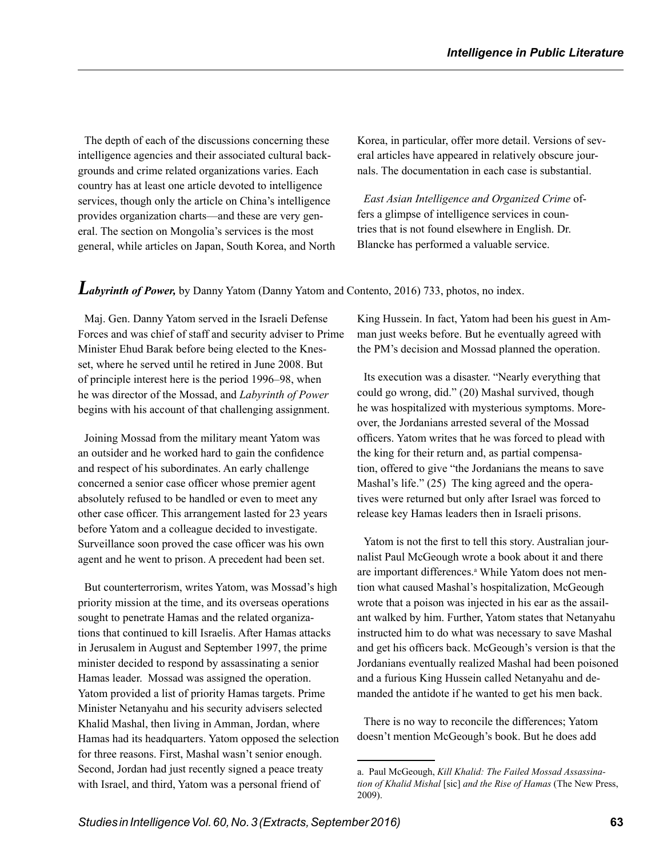The depth of each of the discussions concerning these intelligence agencies and their associated cultural backgrounds and crime related organizations varies. Each country has at least one article devoted to intelligence services, though only the article on China's intelligence provides organization charts—and these are very general. The section on Mongolia's services is the most general, while articles on Japan, South Korea, and North Korea, in particular, offer more detail. Versions of several articles have appeared in relatively obscure journals. The documentation in each case is substantial.

*East Asian Intelligence and Organized Crime* offers a glimpse of intelligence services in countries that is not found elsewhere in English. Dr. Blancke has performed a valuable service.

### *Labyrinth of Power*, by Danny Yatom (Danny Yatom and Contento, 2016) 733, photos, no index.

Maj. Gen. Danny Yatom served in the Israeli Defense Forces and was chief of staff and security adviser to Prime Minister Ehud Barak before being elected to the Knesset, where he served until he retired in June 2008. But of principle interest here is the period 1996–98, when he was director of the Mossad, and *Labyrinth of Power*  begins with his account of that challenging assignment.

Joining Mossad from the military meant Yatom was an outsider and he worked hard to gain the confidence and respect of his subordinates. An early challenge concerned a senior case officer whose premier agent absolutely refused to be handled or even to meet any other case officer. This arrangement lasted for 23 years before Yatom and a colleague decided to investigate. Surveillance soon proved the case officer was his own agent and he went to prison. A precedent had been set.

But counterterrorism, writes Yatom, was Mossad's high priority mission at the time, and its overseas operations sought to penetrate Hamas and the related organizations that continued to kill Israelis. After Hamas attacks in Jerusalem in August and September 1997, the prime minister decided to respond by assassinating a senior Hamas leader. Mossad was assigned the operation. Yatom provided a list of priority Hamas targets. Prime Minister Netanyahu and his security advisers selected Khalid Mashal, then living in Amman, Jordan, where Hamas had its headquarters. Yatom opposed the selection for three reasons. First, Mashal wasn't senior enough. Second, Jordan had just recently signed a peace treaty with Israel, and third, Yatom was a personal friend of

King Hussein. In fact, Yatom had been his guest in Amman just weeks before. But he eventually agreed with the PM's decision and Mossad planned the operation.

Its execution was a disaster. "Nearly everything that could go wrong, did." (20) Mashal survived, though he was hospitalized with mysterious symptoms. Moreover, the Jordanians arrested several of the Mossad officers. Yatom writes that he was forced to plead with the king for their return and, as partial compensation, offered to give "the Jordanians the means to save Mashal's life." (25) The king agreed and the operatives were returned but only after Israel was forced to release key Hamas leaders then in Israeli prisons.

Yatom is not the first to tell this story. Australian journalist Paul McGeough wrote a book about it and there are important differences.<sup>a</sup> While Yatom does not mention what caused Mashal's hospitalization, McGeough wrote that a poison was injected in his ear as the assailant walked by him. Further, Yatom states that Netanyahu instructed him to do what was necessary to save Mashal and get his officers back. McGeough's version is that the Jordanians eventually realized Mashal had been poisoned and a furious King Hussein called Netanyahu and demanded the antidote if he wanted to get his men back.

There is no way to reconcile the differences; Yatom doesn't mention McGeough's book. But he does add

a. Paul McGeough, *Kill Khalid: The Failed Mossad Assassination of Khalid Mishal* [sic] *and the Rise of Hamas* (The New Press, 2009).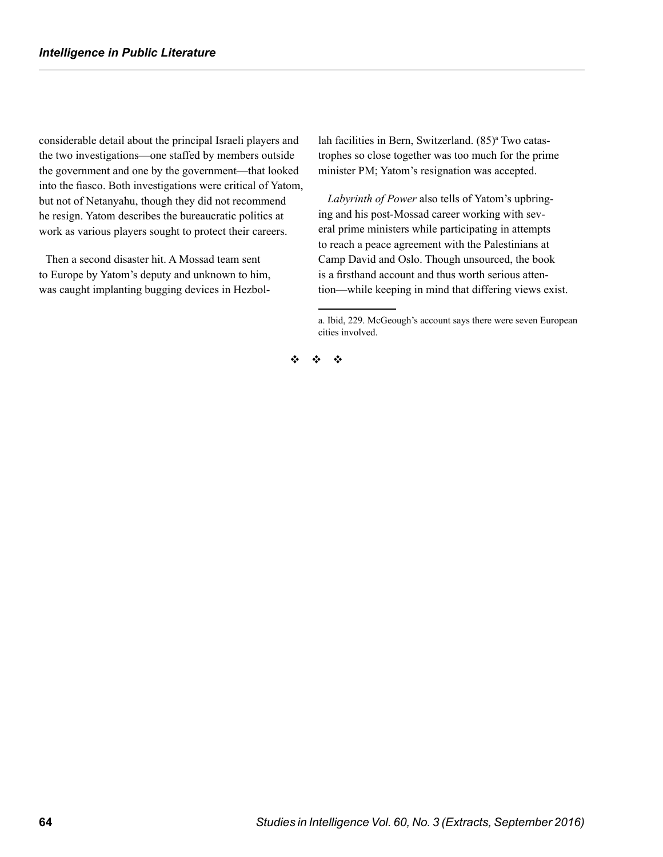considerable detail about the principal Israeli players and the two investigations—one staffed by members outside the government and one by the government—that looked into the fiasco. Both investigations were critical of Yatom, but not of Netanyahu, though they did not recommend he resign. Yatom describes the bureaucratic politics at work as various players sought to protect their careers.

Then a second disaster hit. A Mossad team sent to Europe by Yatom's deputy and unknown to him, was caught implanting bugging devices in Hezbol-

lah facilities in Bern, Switzerland. (85)<sup>a</sup> Two catastrophes so close together was too much for the prime minister PM; Yatom's resignation was accepted.

*Labyrinth of Power* also tells of Yatom's upbringing and his post-Mossad career working with several prime ministers while participating in attempts to reach a peace agreement with the Palestinians at Camp David and Oslo. Though unsourced, the book is a firsthand account and thus worth serious attention—while keeping in mind that differing views exist.

v v v

a. Ibid, 229. McGeough's account says there were seven European cities involved.